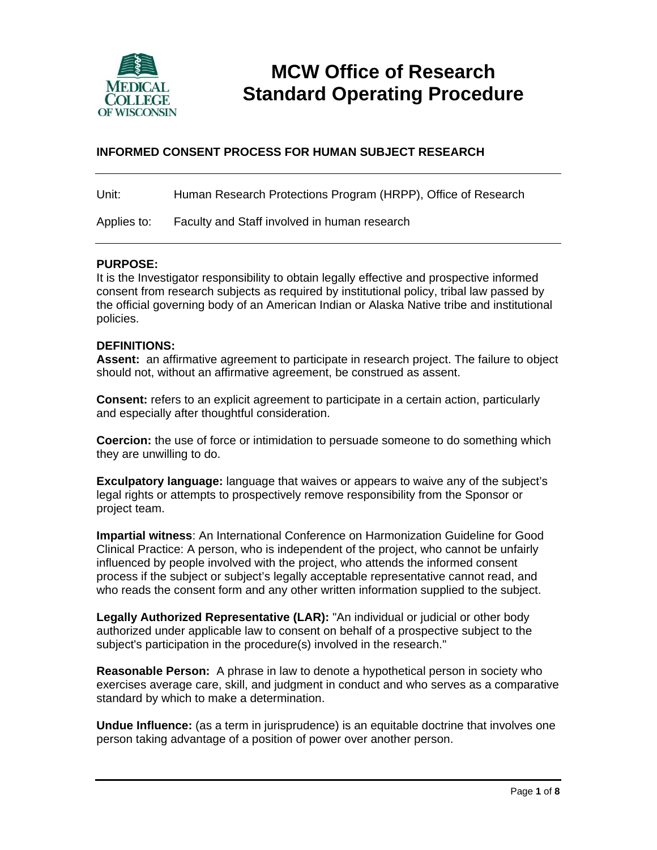

# **MCW Office of Research Standard Operating Procedure**

# **INFORMED CONSENT PROCESS FOR HUMAN SUBJECT RESEARCH**

Unit: Human Research Protections Program (HRPP), Office of Research

Applies to: Faculty and Staff involved in human research

#### **PURPOSE:**

It is the Investigator responsibility to obtain legally effective and prospective informed consent from research subjects as required by institutional policy, tribal law passed by the official governing body of an American Indian or Alaska Native tribe and institutional policies.

#### **DEFINITIONS:**

**Assent:** an affirmative agreement to participate in research project. The failure to object should not, without an affirmative agreement, be construed as assent.

**Consent:** refers to an explicit agreement to participate in a certain action, particularly and especially after thoughtful consideration.

**Coercion:** the use of force or intimidation to persuade someone to do something which they are unwilling to do.

**Exculpatory language:** language that waives or appears to waive any of the subject's legal rights or attempts to prospectively remove responsibility from the Sponsor or project team.

**Impartial witness**: An International Conference on Harmonization Guideline for Good Clinical Practice: A person, who is independent of the project, who cannot be unfairly influenced by people involved with the project, who attends the informed consent process if the subject or subject's legally acceptable representative cannot read, and who reads the consent form and any other written information supplied to the subject.

**Legally Authorized Representative (LAR):** "An individual or judicial or other body authorized under applicable law to consent on behalf of a prospective subject to the subject's participation in the procedure(s) involved in the research."

**Reasonable Person:** A phrase in law to denote a hypothetical person in society who exercises average care, skill, and judgment in conduct and who serves as a comparative standard by which to make a determination.

**Undue Influence:** (as a term in jurisprudence) is an equitable doctrine that involves one person taking advantage of a position of power over another person.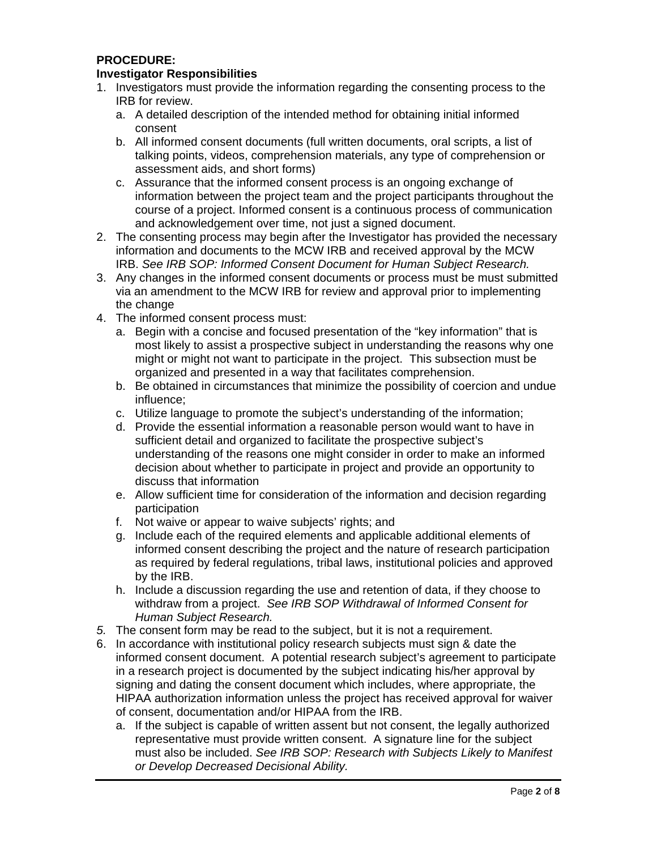# **PROCEDURE:**

#### **Investigator Responsibilities**

- 1. Investigators must provide the information regarding the consenting process to the IRB for review.
	- a. A detailed description of the intended method for obtaining initial informed consent
	- b. All informed consent documents (full written documents, oral scripts, a list of talking points, videos, comprehension materials, any type of comprehension or assessment aids, and short forms)
	- c. Assurance that the informed consent process is an ongoing exchange of information between the project team and the project participants throughout the course of a project. Informed consent is a continuous process of communication and acknowledgement over time, not just a signed document.
- 2. The consenting process may begin after the Investigator has provided the necessary information and documents to the MCW IRB and received approval by the MCW IRB. *See IRB SOP: Informed Consent Document for Human Subject Research.*
- 3. Any changes in the informed consent documents or process must be must submitted via an amendment to the MCW IRB for review and approval prior to implementing the change
- 4. The informed consent process must:
	- a. Begin with a concise and focused presentation of the "key information" that is most likely to assist a prospective subject in understanding the reasons why one might or might not want to participate in the project. This subsection must be organized and presented in a way that facilitates comprehension.
	- b. Be obtained in circumstances that minimize the possibility of coercion and undue influence;
	- c. Utilize language to promote the subject's understanding of the information;
	- d. Provide the essential information a reasonable person would want to have in sufficient detail and organized to facilitate the prospective subject's understanding of the reasons one might consider in order to make an informed decision about whether to participate in project and provide an opportunity to discuss that information
	- e. Allow sufficient time for consideration of the information and decision regarding participation
	- f. Not waive or appear to waive subjects' rights; and
	- g. Include each of the required elements and applicable additional elements of informed consent describing the project and the nature of research participation as required by federal regulations, tribal laws, institutional policies and approved by the IRB.
	- h. Include a discussion regarding the use and retention of data, if they choose to withdraw from a project. *See IRB SOP Withdrawal of Informed Consent for Human Subject Research.*
- *5.* The consent form may be read to the subject, but it is not a requirement.
- 6. In accordance with institutional policy research subjects must sign & date the informed consent document. A potential research subject's agreement to participate in a research project is documented by the subject indicating his/her approval by signing and dating the consent document which includes, where appropriate, the HIPAA authorization information unless the project has received approval for waiver of consent, documentation and/or HIPAA from the IRB.
	- a. If the subject is capable of written assent but not consent, the legally authorized representative must provide written consent. A signature line for the subject must also be included. *See IRB SOP: Research with Subjects Likely to Manifest or Develop Decreased Decisional Ability.*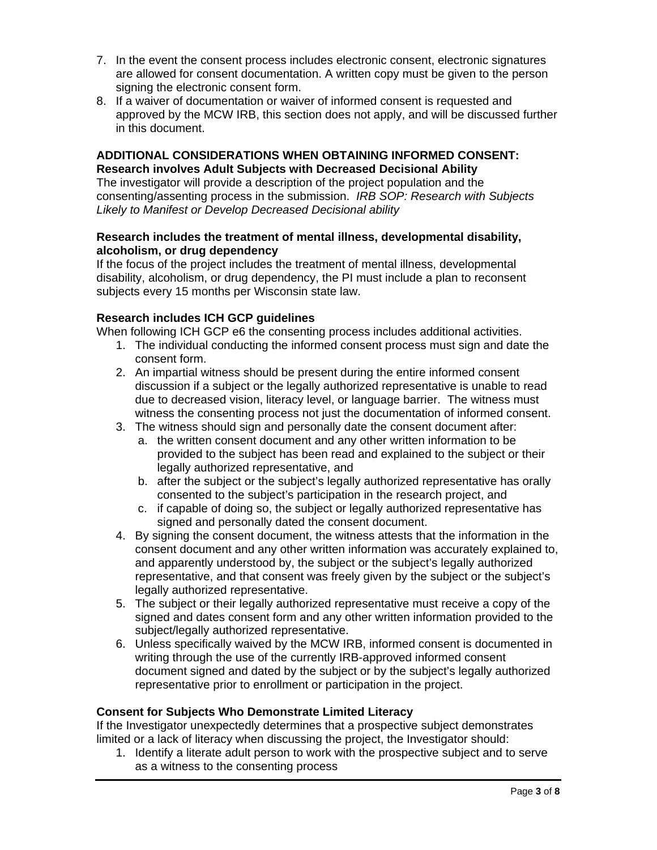- 7. In the event the consent process includes electronic consent, electronic signatures are allowed for consent documentation. A written copy must be given to the person signing the electronic consent form.
- 8. If a waiver of documentation or waiver of informed consent is requested and approved by the MCW IRB, this section does not apply, and will be discussed further in this document.

#### **ADDITIONAL CONSIDERATIONS WHEN OBTAINING INFORMED CONSENT: Research involves Adult Subjects with Decreased Decisional Ability**

The investigator will provide a description of the project population and the consenting/assenting process in the submission. *IRB SOP: Research with Subjects Likely to Manifest or Develop Decreased Decisional ability* 

## **Research includes the treatment of mental illness, developmental disability, alcoholism, or drug dependency**

If the focus of the project includes the treatment of mental illness, developmental disability, alcoholism, or drug dependency, the PI must include a plan to reconsent subjects every 15 months per Wisconsin state law.

# **Research includes ICH GCP guidelines**

When following ICH GCP e6 the consenting process includes additional activities.

- 1. The individual conducting the informed consent process must sign and date the consent form.
- 2. An impartial witness should be present during the entire informed consent discussion if a subject or the legally authorized representative is unable to read due to decreased vision, literacy level, or language barrier. The witness must witness the consenting process not just the documentation of informed consent.
- 3. The witness should sign and personally date the consent document after:
	- a. the written consent document and any other written information to be provided to the subject has been read and explained to the subject or their legally authorized representative, and
	- b. after the subject or the subject's legally authorized representative has orally consented to the subject's participation in the research project, and
	- c. if capable of doing so, the subject or legally authorized representative has signed and personally dated the consent document.
- 4. By signing the consent document, the witness attests that the information in the consent document and any other written information was accurately explained to, and apparently understood by, the subject or the subject's legally authorized representative, and that consent was freely given by the subject or the subject's legally authorized representative.
- 5. The subject or their legally authorized representative must receive a copy of the signed and dates consent form and any other written information provided to the subject/legally authorized representative.
- 6. Unless specifically waived by the MCW IRB, informed consent is documented in writing through the use of the currently IRB-approved informed consent document signed and dated by the subject or by the subject's legally authorized representative prior to enrollment or participation in the project.

## **Consent for Subjects Who Demonstrate Limited Literacy**

If the Investigator unexpectedly determines that a prospective subject demonstrates limited or a lack of literacy when discussing the project, the Investigator should:

1. Identify a literate adult person to work with the prospective subject and to serve as a witness to the consenting process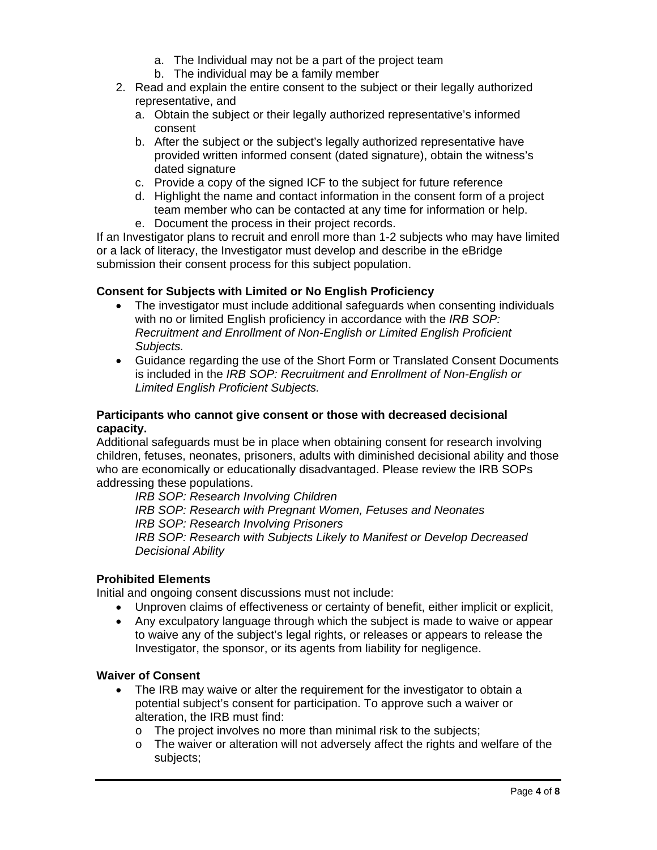- a. The Individual may not be a part of the project team
- b. The individual may be a family member
- 2. Read and explain the entire consent to the subject or their legally authorized representative, and
	- a. Obtain the subject or their legally authorized representative's informed consent
	- b. After the subject or the subject's legally authorized representative have provided written informed consent (dated signature), obtain the witness's dated signature
	- c. Provide a copy of the signed ICF to the subject for future reference
	- d. Highlight the name and contact information in the consent form of a project team member who can be contacted at any time for information or help.
	- e. Document the process in their project records.

If an Investigator plans to recruit and enroll more than 1-2 subjects who may have limited or a lack of literacy, the Investigator must develop and describe in the eBridge submission their consent process for this subject population.

# **Consent for Subjects with Limited or No English Proficiency**

- The investigator must include additional safeguards when consenting individuals with no or limited English proficiency in accordance with the *IRB SOP: Recruitment and Enrollment of Non-English or Limited English Proficient Subjects.*
- Guidance regarding the use of the Short Form or Translated Consent Documents is included in the *IRB SOP: Recruitment and Enrollment of Non-English or Limited English Proficient Subjects.*

#### **Participants who cannot give consent or those with decreased decisional capacity.**

Additional safeguards must be in place when obtaining consent for research involving children, fetuses, neonates, prisoners, adults with diminished decisional ability and those who are economically or educationally disadvantaged. Please review the IRB SOPs addressing these populations.

*IRB SOP: Research Involving Children IRB SOP: Research with Pregnant Women, Fetuses and Neonates IRB SOP: Research Involving Prisoners IRB SOP: Research with Subjects Likely to Manifest or Develop Decreased Decisional Ability* 

## **Prohibited Elements**

Initial and ongoing consent discussions must not include:

- Unproven claims of effectiveness or certainty of benefit, either implicit or explicit,
- Any exculpatory language through which the subject is made to waive or appear to waive any of the subject's legal rights, or releases or appears to release the Investigator, the sponsor, or its agents from liability for negligence.

## **Waiver of Consent**

- The IRB may waive or alter the requirement for the investigator to obtain a potential subject's consent for participation. To approve such a waiver or alteration, the IRB must find:
	- o The project involves no more than minimal risk to the subjects;
	- $\circ$  The waiver or alteration will not adversely affect the rights and welfare of the subjects;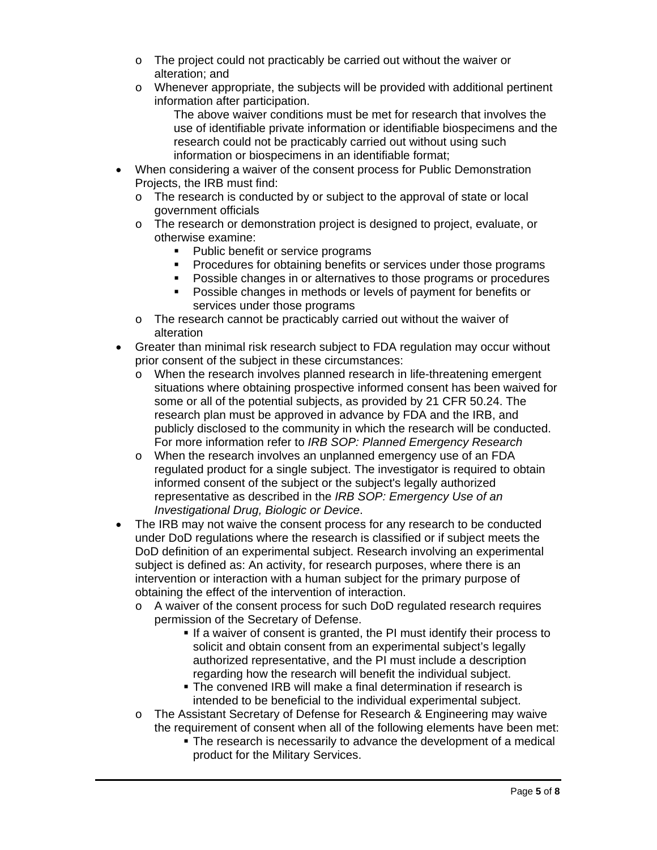- o The project could not practicably be carried out without the waiver or alteration; and
- $\circ$  Whenever appropriate, the subjects will be provided with additional pertinent information after participation.

The above waiver conditions must be met for research that involves the use of identifiable private information or identifiable biospecimens and the research could not be practicably carried out without using such information or biospecimens in an identifiable format;

- When considering a waiver of the consent process for Public Demonstration Projects, the IRB must find:
	- o The research is conducted by or subject to the approval of state or local government officials
	- o The research or demonstration project is designed to project, evaluate, or otherwise examine:
		- Public benefit or service programs
		- **Procedures for obtaining benefits or services under those programs**
		- Possible changes in or alternatives to those programs or procedures
		- Possible changes in methods or levels of payment for benefits or services under those programs
	- o The research cannot be practicably carried out without the waiver of alteration
- Greater than minimal risk research subject to FDA regulation may occur without prior consent of the subject in these circumstances:
	- o When the research involves planned research in life-threatening emergent situations where obtaining prospective informed consent has been waived for some or all of the potential subjects, as provided by 21 CFR 50.24. The research plan must be approved in advance by FDA and the IRB, and publicly disclosed to the community in which the research will be conducted. For more information refer to *IRB SOP: Planned Emergency Research*
	- o When the research involves an unplanned emergency use of an FDA regulated product for a single subject. The investigator is required to obtain informed consent of the subject or the subject's legally authorized representative as described in the *IRB SOP: Emergency Use of an Investigational Drug, Biologic or Device*.
- The IRB may not waive the consent process for any research to be conducted under DoD regulations where the research is classified or if subject meets the DoD definition of an experimental subject. Research involving an experimental subject is defined as: An activity, for research purposes, where there is an intervention or interaction with a human subject for the primary purpose of obtaining the effect of the intervention of interaction.
	- o A waiver of the consent process for such DoD regulated research requires permission of the Secretary of Defense.
		- If a waiver of consent is granted, the PI must identify their process to solicit and obtain consent from an experimental subject's legally authorized representative, and the PI must include a description regarding how the research will benefit the individual subject.
		- The convened IRB will make a final determination if research is intended to be beneficial to the individual experimental subject.
	- o The Assistant Secretary of Defense for Research & Engineering may waive the requirement of consent when all of the following elements have been met:
		- **The research is necessarily to advance the development of a medical** product for the Military Services.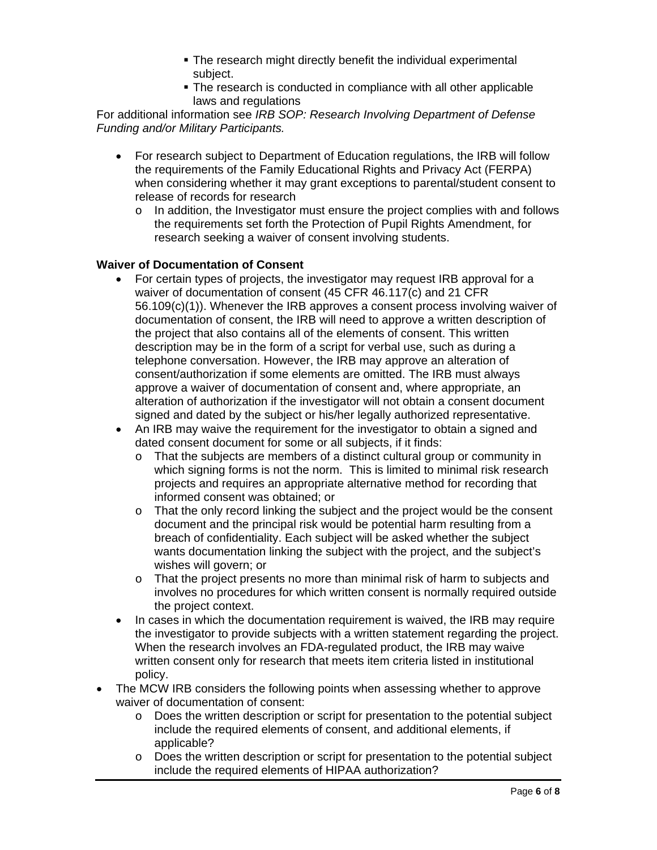- **The research might directly benefit the individual experimental** subject.
- **The research is conducted in compliance with all other applicable** laws and regulations

For additional information see *IRB SOP: Research Involving Department of Defense Funding and/or Military Participants.* 

- For research subject to Department of Education regulations, the IRB will follow the requirements of the Family Educational Rights and Privacy Act (FERPA) when considering whether it may grant exceptions to parental/student consent to release of records for research
	- $\circ$  In addition, the Investigator must ensure the project complies with and follows the requirements set forth the Protection of Pupil Rights Amendment, for research seeking a waiver of consent involving students.

#### **Waiver of Documentation of Consent**

- For certain types of projects, the investigator may request IRB approval for a waiver of documentation of consent (45 CFR 46.117(c) and 21 CFR 56.109(c)(1)). Whenever the IRB approves a consent process involving waiver of documentation of consent, the IRB will need to approve a written description of the project that also contains all of the elements of consent. This written description may be in the form of a script for verbal use, such as during a telephone conversation. However, the IRB may approve an alteration of consent/authorization if some elements are omitted. The IRB must always approve a waiver of documentation of consent and, where appropriate, an alteration of authorization if the investigator will not obtain a consent document signed and dated by the subject or his/her legally authorized representative.
- An IRB may waive the requirement for the investigator to obtain a signed and dated consent document for some or all subjects, if it finds:
	- o That the subjects are members of a distinct cultural group or community in which signing forms is not the norm. This is limited to minimal risk research projects and requires an appropriate alternative method for recording that informed consent was obtained; or
	- $\circ$  That the only record linking the subject and the project would be the consent document and the principal risk would be potential harm resulting from a breach of confidentiality. Each subject will be asked whether the subject wants documentation linking the subject with the project, and the subject's wishes will govern; or
	- o That the project presents no more than minimal risk of harm to subjects and involves no procedures for which written consent is normally required outside the project context.
- In cases in which the documentation requirement is waived, the IRB may require the investigator to provide subjects with a written statement regarding the project. When the research involves an FDA-regulated product, the IRB may waive written consent only for research that meets item criteria listed in institutional policy.
- The MCW IRB considers the following points when assessing whether to approve waiver of documentation of consent:
	- $\circ$  Does the written description or script for presentation to the potential subject include the required elements of consent, and additional elements, if applicable?
	- $\circ$  Does the written description or script for presentation to the potential subject include the required elements of HIPAA authorization?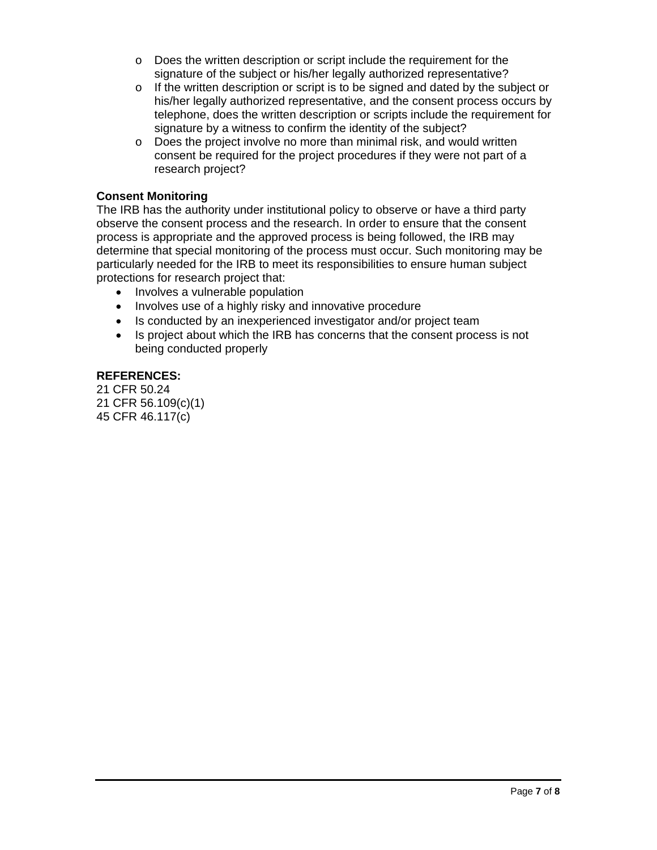- o Does the written description or script include the requirement for the signature of the subject or his/her legally authorized representative?
- $\circ$  If the written description or script is to be signed and dated by the subject or his/her legally authorized representative, and the consent process occurs by telephone, does the written description or scripts include the requirement for signature by a witness to confirm the identity of the subject?
- o Does the project involve no more than minimal risk, and would written consent be required for the project procedures if they were not part of a research project?

#### **Consent Monitoring**

The IRB has the authority under institutional policy to observe or have a third party observe the consent process and the research. In order to ensure that the consent process is appropriate and the approved process is being followed, the IRB may determine that special monitoring of the process must occur. Such monitoring may be particularly needed for the IRB to meet its responsibilities to ensure human subject protections for research project that:

- Involves a vulnerable population
- Involves use of a highly risky and innovative procedure
- Is conducted by an inexperienced investigator and/or project team
- Is project about which the IRB has concerns that the consent process is not being conducted properly

#### **REFERENCES:**

21 CFR 50.24 21 CFR 56.109(c)(1) 45 CFR 46.117(c)